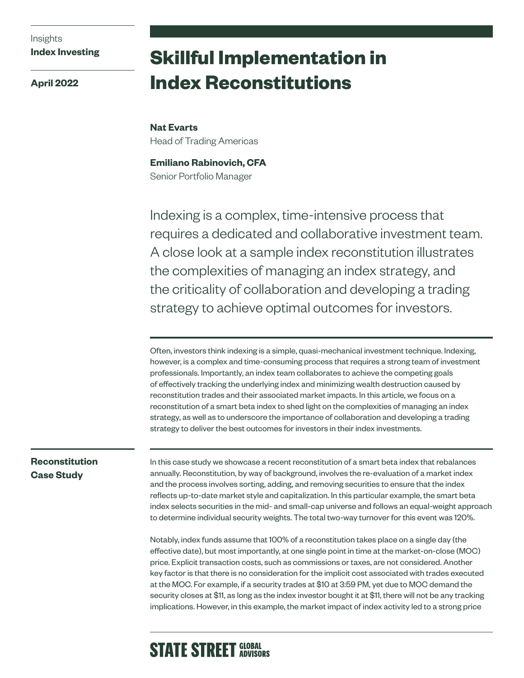# Insights **Index Investing**

**April 2022**

# **Skillful Implementation in Index Reconstitutions**

**Nat Evarts**  Head of Trading Americas

**Emiliano Rabinovich, CFA** Senior Portfolio Manager

Indexing is a complex, time-intensive process that requires a dedicated and collaborative investment team. A close look at a sample index reconstitution illustrates the complexities of managing an index strategy, and the criticality of collaboration and developing a trading strategy to achieve optimal outcomes for investors.

Often, investors think indexing is a simple, quasi-mechanical investment technique. Indexing, however, is a complex and time-consuming process that requires a strong team of investment professionals. Importantly, an index team collaborates to achieve the competing goals of effectively tracking the underlying index and minimizing wealth destruction caused by reconstitution trades and their associated market impacts. In this article, we focus on a reconstitution of a smart beta index to shed light on the complexities of managing an index strategy, as well as to underscore the importance of collaboration and developing a trading strategy to deliver the best outcomes for investors in their index investments.

# **Reconstitution Case Study**

In this case study we showcase a recent reconstitution of a smart beta index that rebalances annually. Reconstitution, by way of background, involves the re-evaluation of a market index and the process involves sorting, adding, and removing securities to ensure that the index reflects up-to-date market style and capitalization. In this particular example, the smart beta index selects securities in the mid- and small-cap universe and follows an equal-weight approach to determine individual security weights. The total two-way turnover for this event was 120%.

Notably, index funds assume that 100% of a reconstitution takes place on a single day (the effective date), but most importantly, at one single point in time at the market-on-close (MOC) price. Explicit transaction costs, such as commissions or taxes, are not considered. Another key factor is that there is no consideration for the implicit cost associated with trades executed at the MOC. For example, if a security trades at \$10 at 3:59 PM, yet due to MOC demand the security closes at \$11, as long as the index investor bought it at \$11, there will not be any tracking implications. However, in this example, the market impact of index activity led to a strong price

# **STATE STREET GLOBAL**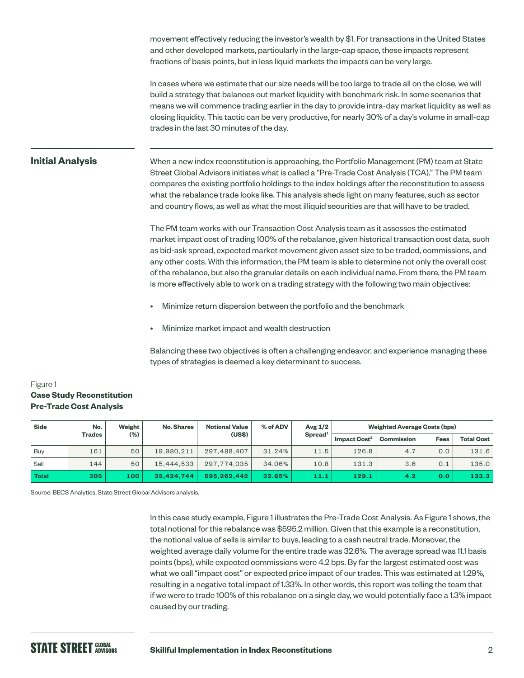movement effectively reducing the investor's wealth by \$1. For transactions in the United States and other developed markets, particularly in the large-cap space, these impacts represent fractions of basis points, but in less liquid markets the impacts can be very large.

In cases where we estimate that our size needs will be too large to trade all on the close, we will build a strategy that balances out market liquidity with benchmark risk. In some scenarios that means we will commence trading earlier in the day to provide intra-day market liquidity as well as closing liquidity. This tactic can be very productive, for nearly 30% of a day's volume in small-cap trades in the last 30 minutes of the day.

#### **Initial Analysis**

When a new index reconstitution is approaching, the Portfolio Management (PM) team at State Street Global Advisors initiates what is called a "Pre-Trade Cost Analysis (TCA)." The PM team compares the existing portfolio holdings to the index holdings after the reconstitution to assess what the rebalance trade looks like. This analysis sheds light on many features, such as sector and country flows, as well as what the most illiquid securities are that will have to be traded.

The PM team works with our Transaction Cost Analysis team as it assesses the estimated market impact cost of trading 100% of the rebalance, given historical transaction cost data, such as bid-ask spread, expected market movement given asset size to be traded, commissions, and any other costs. With this information, the PM team is able to determine not only the overall cost of the rebalance, but also the granular details on each individual name. From there, the PM team is more effectively able to work on a trading strategy with the following two main objectives:

- Minimize return dispersion between the portfolio and the benchmark
- Minimize market impact and wealth destruction

Balancing these two objectives is often a challenging endeavor, and experience managing these types of strategies is deemed a key determinant to success.

#### Figure 1 **Case Study Reconstitution Pre-Trade Cost Analysis**

| <b>Side</b> | No.           | Weight  | <b>No. Shares</b> | <b>Notional Value</b> | % of ADV | Avg $1/2$              |                          | <b>Weighted Average Costs (bps)</b> |             |                   |
|-------------|---------------|---------|-------------------|-----------------------|----------|------------------------|--------------------------|-------------------------------------|-------------|-------------------|
|             | <b>Trades</b> | $(\% )$ |                   | (US\$)                |          | $S$ pread <sup>1</sup> | Impact Cost <sup>2</sup> | Commission                          | <b>Fees</b> | <b>Total Cost</b> |
| Buy         | 161           | 50      | 19.980.211        | 297.488.407           | 31.24%   | 11.5                   | 126.8                    | 4.7                                 | 0.0         | 131.6             |
| Sell        | 144           | 50      | 15.444.533        | 297.774.035           | 34.06%   | 10.8                   | 131.3                    | 3.6                                 | 0.1         | 135.0             |
| Total       | 305           | 100     | 35.424.744        | 595.262.442           | 32.65%   | 11.1                   | 129.1                    | 4.2                                 | 0.0         | 133.3             |

Source: BECS Analytics, State Street Global Advisors analysis.

In this case study example, Figure 1 illustrates the Pre-Trade Cost Analysis. As Figure 1 shows, the total notional for this rebalance was \$595.2 million. Given that this example is a reconstitution, the notional value of sells is similar to buys, leading to a cash neutral trade. Moreover, the weighted average daily volume for the entire trade was 32.6%. The average spread was 11.1 basis points (bps), while expected commissions were 4.2 bps. By far the largest estimated cost was what we call "impact cost" or expected price impact of our trades. This was estimated at 1.29%, resulting in a negative total impact of 1.33%. In other words, this report was telling the team that if we were to trade 100% of this rebalance on a single day, we would potentially face a 1.3% impact caused by our trading.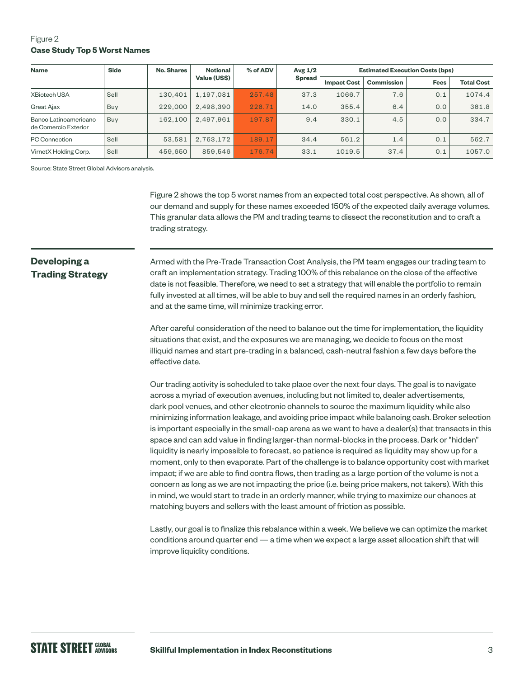## Figure 2 **Case Study Top 5 Worst Names**

| <b>Name</b>                                   | <b>Side</b> | No. Shares | <b>Notional</b><br>Value (US\$) | % of ADV | Avg $1/2$<br><b>Spread</b> | <b>Estimated Execution Costs (bps)</b> |                   |             |                   |
|-----------------------------------------------|-------------|------------|---------------------------------|----------|----------------------------|----------------------------------------|-------------------|-------------|-------------------|
|                                               |             |            |                                 |          |                            | <b>Impact Cost</b>                     | <b>Commission</b> | <b>Fees</b> | <b>Total Cost</b> |
| <b>XBiotech USA</b>                           | Sell        | 130.401    | 1.197.081                       | 257.48   | 37.3                       | 1066.7                                 | 7.6               | 0.1         | 1074.4            |
| Great Ajax                                    | Buy         | 229,000    | 2.498.390                       | 226.71   | 14.0                       | 355.4                                  | 6.4               | 0.0         | 361.8             |
| Banco Latinoamericano<br>de Comercio Exterior | Buy         | 162.100    | 2.497.961                       | 197.87   | 9.4                        | 330.1                                  | 4.5               | 0.0         | 334.7             |
| <b>PC Connection</b>                          | Sell        | 53,581     | 2.763.172                       | 189.17   | 34.4                       | 561.2                                  | 1.4               | 0.1         | 562.7             |
| VirnetX Holding Corp.                         | Sell        | 459.650    | 859.546                         | 176.74   | 33.1                       | 1019.5                                 | 37.4              | 0.1         | 1057.0            |

Source: State Street Global Advisors analysis.

Figure 2 shows the top 5 worst names from an expected total cost perspective. As shown, all of our demand and supply for these names exceeded 150% of the expected daily average volumes. This granular data allows the PM and trading teams to dissect the reconstitution and to craft a trading strategy.

# **Developing a Trading Strategy**

Armed with the Pre-Trade Transaction Cost Analysis, the PM team engages our trading team to craft an implementation strategy. Trading 100% of this rebalance on the close of the effective date is not feasible. Therefore, we need to set a strategy that will enable the portfolio to remain fully invested at all times, will be able to buy and sell the required names in an orderly fashion, and at the same time, will minimize tracking error.

After careful consideration of the need to balance out the time for implementation, the liquidity situations that exist, and the exposures we are managing, we decide to focus on the most illiquid names and start pre-trading in a balanced, cash-neutral fashion a few days before the effective date.

Our trading activity is scheduled to take place over the next four days. The goal is to navigate across a myriad of execution avenues, including but not limited to, dealer advertisements, dark pool venues, and other electronic channels to source the maximum liquidity while also minimizing information leakage, and avoiding price impact while balancing cash. Broker selection is important especially in the small-cap arena as we want to have a dealer(s) that transacts in this space and can add value in finding larger-than normal-blocks in the process. Dark or "hidden" liquidity is nearly impossible to forecast, so patience is required as liquidity may show up for a moment, only to then evaporate. Part of the challenge is to balance opportunity cost with market impact; if we are able to find contra flows, then trading as a large portion of the volume is not a concern as long as we are not impacting the price (i.e. being price makers, not takers). With this in mind, we would start to trade in an orderly manner, while trying to maximize our chances at matching buyers and sellers with the least amount of friction as possible.

Lastly, our goal is to finalize this rebalance within a week. We believe we can optimize the market conditions around quarter end — a time when we expect a large asset allocation shift that will improve liquidity conditions.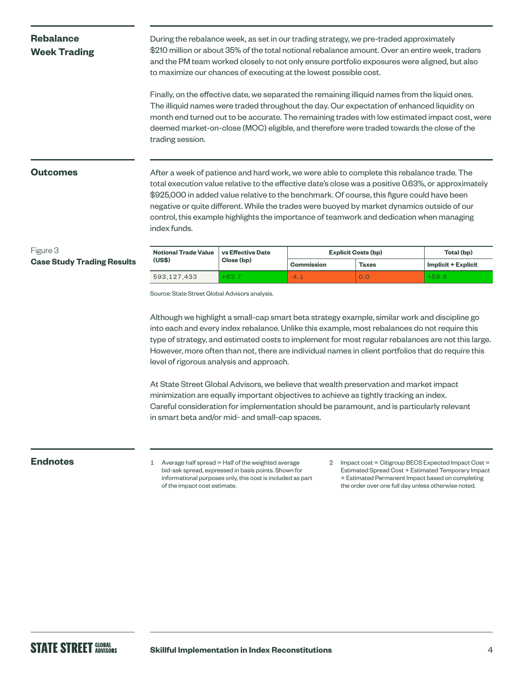# **Rebalance Week Trading**

During the rebalance week, as set in our trading strategy, we pre-traded approximately \$210 million or about 35% of the total notional rebalance amount. Over an entire week, traders and the PM team worked closely to not only ensure portfolio exposures were aligned, but also to maximize our chances of executing at the lowest possible cost.

Finally, on the effective date, we separated the remaining illiquid names from the liquid ones. The illiquid names were traded throughout the day. Our expectation of enhanced liquidity on month end turned out to be accurate. The remaining trades with low estimated impact cost, were deemed market-on-close (MOC) eligible, and therefore were traded towards the close of the trading session.

#### **Outcomes**

After a week of patience and hard work, we were able to complete this rebalance trade. The total execution value relative to the effective date's close was a positive 0.63%, or approximately \$925,000 in added value relative to the benchmark. Of course, this figure could have been negative or quite different. While the trades were buoyed by market dynamics outside of our control, this example highlights the importance of teamwork and dedication when managing index funds.

### Figure 3 **Case Study Trading Results**

| <b>Notional Trade Value</b> | vs Effective Date | <b>Explicit Costs (bp)</b> | Total (bp)   |                            |
|-----------------------------|-------------------|----------------------------|--------------|----------------------------|
| (US\$)                      | Close (bp)        | Commission                 | <b>Taxes</b> | <b>Implicit + Explicit</b> |
| 593.127.433                 | $+63.7$           | $-4$ .                     | 0.0          | $+59.6$                    |

Source: State Street Global Advisors analysis.

Although we highlight a small-cap smart beta strategy example, similar work and discipline go into each and every index rebalance. Unlike this example, most rebalances do not require this type of strategy, and estimated costs to implement for most regular rebalances are not this large. However, more often than not, there are individual names in client portfolios that do require this level of rigorous analysis and approach.

At State Street Global Advisors, we believe that wealth preservation and market impact minimization are equally important objectives to achieve as tightly tracking an index. Careful consideration for implementation should be paramount, and is particularly relevant in smart beta and/or mid- and small-cap spaces.

- **Endnotes** 1 Average half spread = Half of the weighted average bid-ask spread, expressed in basis points. Shown for informational purposes only, this cost is included as part of the impact cost estimate.
- 2 Impact cost = Citigroup BECS Expected Impact Cost = Estimated Spread Cost + Estimated Temporary Impact + Estimated Permanent Impact based on completing the order over one full day unless otherwise noted.